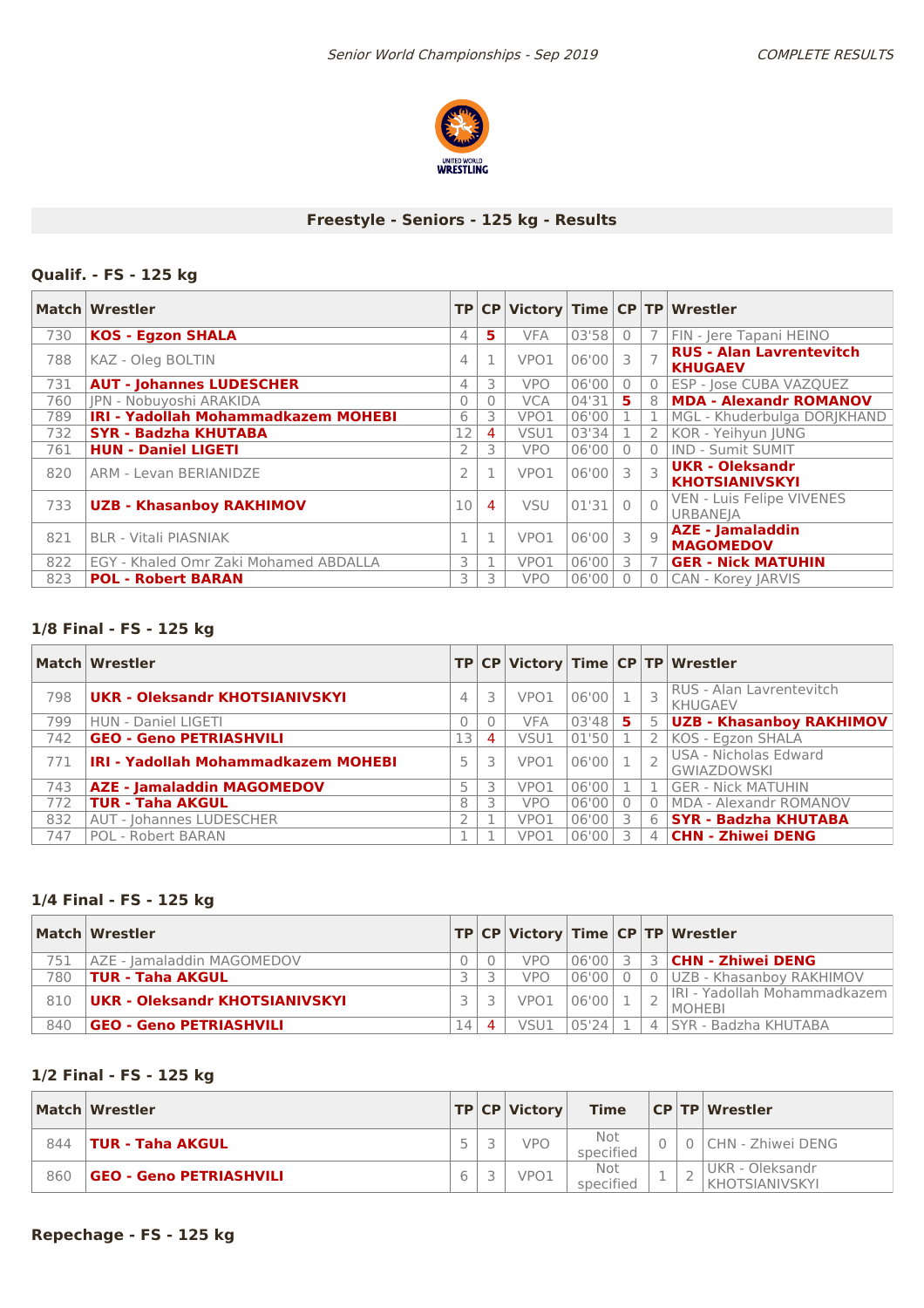

# **Freestyle - Seniors - 125 kg - Results**

### **Qualif. - FS - 125 kg**

|     | Match Wrestler                             |                |                |            |       |                |                | TP CP Victory Time CP TP Wrestler                 |
|-----|--------------------------------------------|----------------|----------------|------------|-------|----------------|----------------|---------------------------------------------------|
| 730 | <b>KOS - Egzon SHALA</b>                   | 4              | 5.             | <b>VFA</b> | 03'58 | $\overline{0}$ |                | FIN - Jere Tapani HEINO                           |
| 788 | KAZ - Oleg BOLTIN                          | 4              |                | VPO1       | 06'00 | 3              |                | <b>RUS - Alan Lavrentevitch</b><br><b>KHUGAEV</b> |
| 731 | <b>AUT - Johannes LUDESCHER</b>            | 4              | 3              | <b>VPO</b> | 06'00 | $\Omega$       | $\Omega$       | ESP - Jose CUBA VAZQUEZ                           |
| 760 | JPN - Nobuyoshi ARAKIDA                    |                | 0              | <b>VCA</b> | 04'31 | 5              | 8 <sup>1</sup> | <b>MDA - Alexandr ROMANOV</b>                     |
| 789 | <b>IRI - Yadollah Mohammadkazem MOHEBI</b> | 6              | 3              | VPO1       | 06'00 |                |                | MGL - Khuderbulga DORJKHAND                       |
| 732 | <b>SYR - Badzha KHUTABA</b>                | 12             | 4              | VSU1       | 03'34 |                | 2 <sub>1</sub> | KOR - Yeihyun JUNG                                |
| 761 | <b>HUN - Daniel LIGETI</b>                 |                | 3              | <b>VPO</b> | 06'00 | $\overline{0}$ | $\Omega$       | IND - Sumit SUMIT                                 |
| 820 | ARM - Levan BERIANIDZE                     | $\overline{2}$ |                | VPO1       | 06'00 | 3              |                | <b>UKR - Oleksandr</b><br><b>KHOTSIANIVSKYI</b>   |
| 733 | <b>UZB - Khasanboy RAKHIMOV</b>            | 10             | $\overline{4}$ | <b>VSU</b> | 01'31 | $\bigcap$      | $\bigcap$      | VEN - Luis Felipe VIVENES<br><b>URBANEJA</b>      |
| 821 | <b>BLR - Vitali PIASNIAK</b>               |                |                | VPO1       | 06'00 | 3              | -9             | <b>AZE - Jamaladdin</b><br><b>MAGOMEDOV</b>       |
| 822 | EGY - Khaled Omr Zaki Mohamed ABDALLA      | 3              |                | VPO1       | 06'00 | 3              |                | <b>GER - Nick MATUHIN</b>                         |
| 823 | <b>POL - Robert BARAN</b>                  | 3              | 3              | <b>VPO</b> | 06'00 |                |                | <b>CAN - Korey JARVIS</b>                         |

# **1/8 Final - FS - 125 kg**

|     | Match Wrestler                             |          |                |                  |       |               |          | TP CP Victory Time CP TP Wrestler                 |
|-----|--------------------------------------------|----------|----------------|------------------|-------|---------------|----------|---------------------------------------------------|
| 798 | UKR - Oleksandr KHOTSIANIVSKYI             | 4        | 3              | VPO1             | 06'00 |               |          | <b>RUS - Alan Lavrentevitch</b><br><b>KHUGAEV</b> |
| 799 | <b>HUN - Daniel LIGETI</b>                 | $\Omega$ |                | <b>VFA</b>       | 03'48 | 5.            | 5        | <b>UZB - Khasanboy RAKHIMOV</b>                   |
| 742 | <b>GEO - Geno PETRIASHVILI</b>             | 13       | $\overline{4}$ | VSU1             | 01'50 |               |          | KOS - Egzon SHALA                                 |
| 771 | <b>IRI - Yadollah Mohammadkazem MOHEBI</b> | 5        |                | VPO <sub>1</sub> | 06'00 |               |          | USA - Nicholas Edward<br><b>GWIAZDOWSKI</b>       |
| 743 | <b>AZE - Jamaladdin MAGOMEDOV</b>          | 5        | 3              | VPO1             | 06'00 |               |          | <b>GER - Nick MATUHIN</b>                         |
| 772 | <b>TUR - Taha AKGUL</b>                    | 8        |                | <b>VPO</b>       | 06'00 | $\Omega$      | $\Omega$ | MDA - Alexandr ROMANOV                            |
| 832 | <b>AUT - Johannes LUDESCHER</b>            |          |                | VPO1             | 06'00 | 3             | 6        | <b>SYR - Badzha KHUTABA</b>                       |
| 747 | <b>POL - Robert BARAN</b>                  |          |                | VPO1             | 06'00 | $\mathcal{L}$ | 4        | <b>CHN - Zhiwei DENG</b>                          |

### **1/4 Final - FS - 125 kg**

|     | Match Wrestler                                   |                |      |       |          |   | TP   CP   Victory   Time   CP   TP   Wrestler |
|-----|--------------------------------------------------|----------------|------|-------|----------|---|-----------------------------------------------|
| 751 | AZE - Jamaladdin MAGOMEDOV                       |                | VPO  | 06'00 |          | 3 | <b>CHN - Zhiwei DENG</b>                      |
| 780 | $^{\mathrm{!}}$ TUR - Taha AKGUL $^{\mathrm{!}}$ |                | vpo  | 06'00 | $\Omega$ |   | 0 UZB - Khasanboy RAKHIMOV                    |
| 810 | UKR - Oleksandr KHOTSIANIVSKYI                   |                | VPO1 | 06'00 |          |   | LIRI - Yadollah Mohammadkazem<br>I MOHFBI     |
| 840 | <b>GEO - Geno PETRIASHVILI</b>                   | $\overline{4}$ | VSU1 | 05'24 |          |   | 4 SYR - Badzha KHUTABA                        |

# **1/2 Final - FS - 125 kg**

|     | Match   Wrestler               |  | $ TP CP $ Victory | <b>Time</b>      |  | <b>CPTP Wrestler</b>                     |
|-----|--------------------------------|--|-------------------|------------------|--|------------------------------------------|
| 844 | <b>TUR - Taha AKGUL</b>        |  | <b>VPO</b>        | Not<br>specified |  | CHN - Zhiwei DENG                        |
| 860 | <b>GEO - Geno PETRIASHVILI</b> |  | VPO1              | Not<br>specified |  | UKR - Oleksandr<br><b>KHOTSIANIVSKYL</b> |